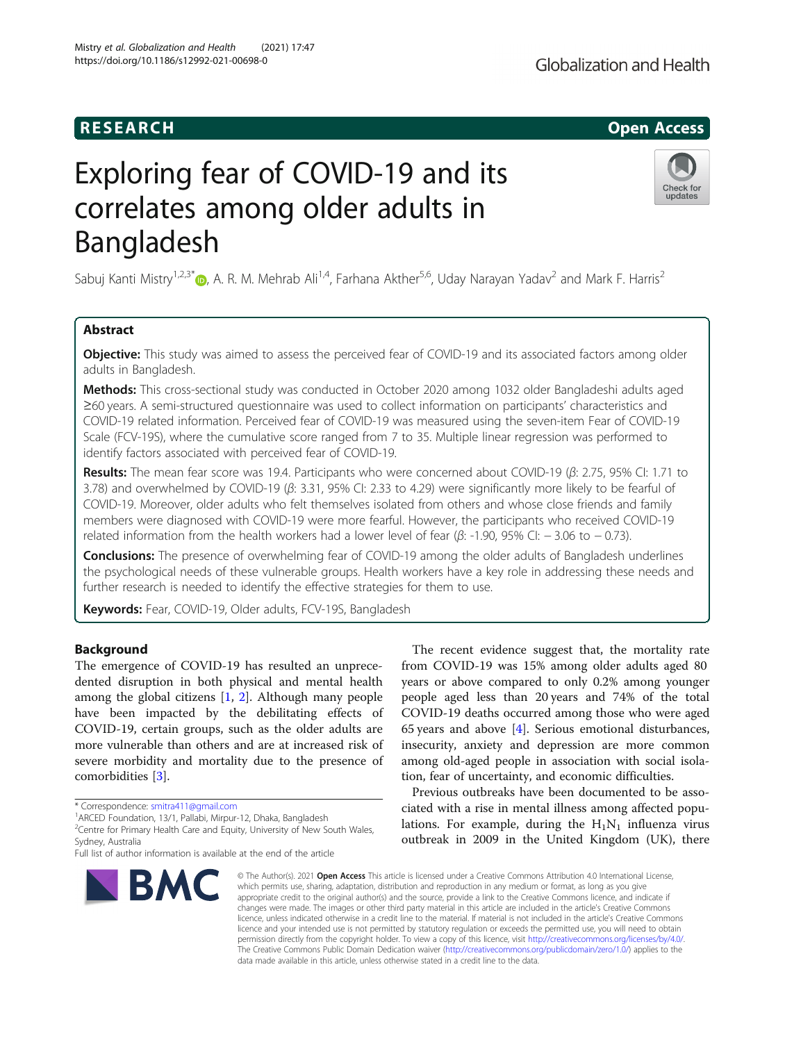# **RESEARCH CHILD CONTROL** CONTROL CONTROL CONTROL CONTROL CONTROL CONTROL CONTROL CONTROL CONTROL CONTROL CONTROL CONTROL CONTROL CONTROL CONTROL CONTROL CONTROL CONTROL CONTROL CONTROL CONTROL CONTROL CONTROL CONTROL CONTR

# Exploring fear of COVID-19 and its correlates among older adults in Bangladesh

Sabuj Kanti Mistry<sup>1[,](http://orcid.org/0000-0001-6100-6076)2,3\*</sup> <sub>(b</sub>, A. R. M. Mehrab Ali<sup>1,4</sup>, Farhana Akther<sup>5,6</sup>, Uday Narayan Yadav<sup>2</sup> and Mark F. Harris<sup>2</sup>

# Abstract

Objective: This study was aimed to assess the perceived fear of COVID-19 and its associated factors among older adults in Bangladesh.

Methods: This cross-sectional study was conducted in October 2020 among 1032 older Bangladeshi adults aged ≥60 years. A semi-structured questionnaire was used to collect information on participants' characteristics and COVID-19 related information. Perceived fear of COVID-19 was measured using the seven-item Fear of COVID-19 Scale (FCV-19S), where the cumulative score ranged from 7 to 35. Multiple linear regression was performed to identify factors associated with perceived fear of COVID-19.

Results: The mean fear score was 19.4. Participants who were concerned about COVID-19 ( $\beta$ : 2.75, 95% CI: 1.71 to 3.78) and overwhelmed by COVID-19 ( $\beta$ : 3.31, 95% CI: 2.33 to 4.29) were significantly more likely to be fearful of COVID-19. Moreover, older adults who felt themselves isolated from others and whose close friends and family members were diagnosed with COVID-19 were more fearful. However, the participants who received COVID-19 related information from the health workers had a lower level of fear ( $β$ : -1.90, 95% CI: -3.06 to -0.73).

**Conclusions:** The presence of overwhelming fear of COVID-19 among the older adults of Bangladesh underlines the psychological needs of these vulnerable groups. Health workers have a key role in addressing these needs and further research is needed to identify the effective strategies for them to use.

Keywords: Fear, COVID-19, Older adults, FCV-19S, Bangladesh

# Background

The emergence of COVID-19 has resulted an unprecedented disruption in both physical and mental health among the global citizens [[1](#page-7-0), [2](#page-7-0)]. Although many people have been impacted by the debilitating effects of COVID-19, certain groups, such as the older adults are more vulnerable than others and are at increased risk of severe morbidity and mortality due to the presence of comorbidities [[3\]](#page-7-0).

The recent evidence suggest that, the mortality rate from COVID-19 was 15% among older adults aged 80 years or above compared to only 0.2% among younger people aged less than 20 years and 74% of the total COVID-19 deaths occurred among those who were aged 65 years and above  $[4]$  $[4]$  $[4]$ . Serious emotional disturbances, insecurity, anxiety and depression are more common among old-aged people in association with social isolation, fear of uncertainty, and economic difficulties.

Previous outbreaks have been documented to be associated with a rise in mental illness among affected populations. For example, during the  $H_1N_1$  influenza virus outbreak in 2009 in the United Kingdom (UK), there

© The Author(s), 2021 **Open Access** This article is licensed under a Creative Commons Attribution 4.0 International License, which permits use, sharing, adaptation, distribution and reproduction in any medium or format, as long as you give appropriate credit to the original author(s) and the source, provide a link to the Creative Commons licence, and indicate if changes were made. The images or other third party material in this article are included in the article's Creative Commons licence, unless indicated otherwise in a credit line to the material. If material is not included in the article's Creative Commons licence and your intended use is not permitted by statutory regulation or exceeds the permitted use, you will need to obtain permission directly from the copyright holder. To view a copy of this licence, visit [http://creativecommons.org/licenses/by/4.0/.](http://creativecommons.org/licenses/by/4.0/) The Creative Commons Public Domain Dedication waiver [\(http://creativecommons.org/publicdomain/zero/1.0/](http://creativecommons.org/publicdomain/zero/1.0/)) applies to the data made available in this article, unless otherwise stated in a credit line to the data.





<sup>\*</sup> Correspondence: [smitra411@gmail.com](mailto:smitra411@gmail.com) <sup>1</sup>

<sup>&</sup>lt;sup>1</sup> ARCED Foundation, 13/1, Pallabi, Mirpur-12, Dhaka, Bangladesh

<sup>&</sup>lt;sup>2</sup> Centre for Primary Health Care and Equity, University of New South Wales, Sydney, Australia

Full list of author information is available at the end of the article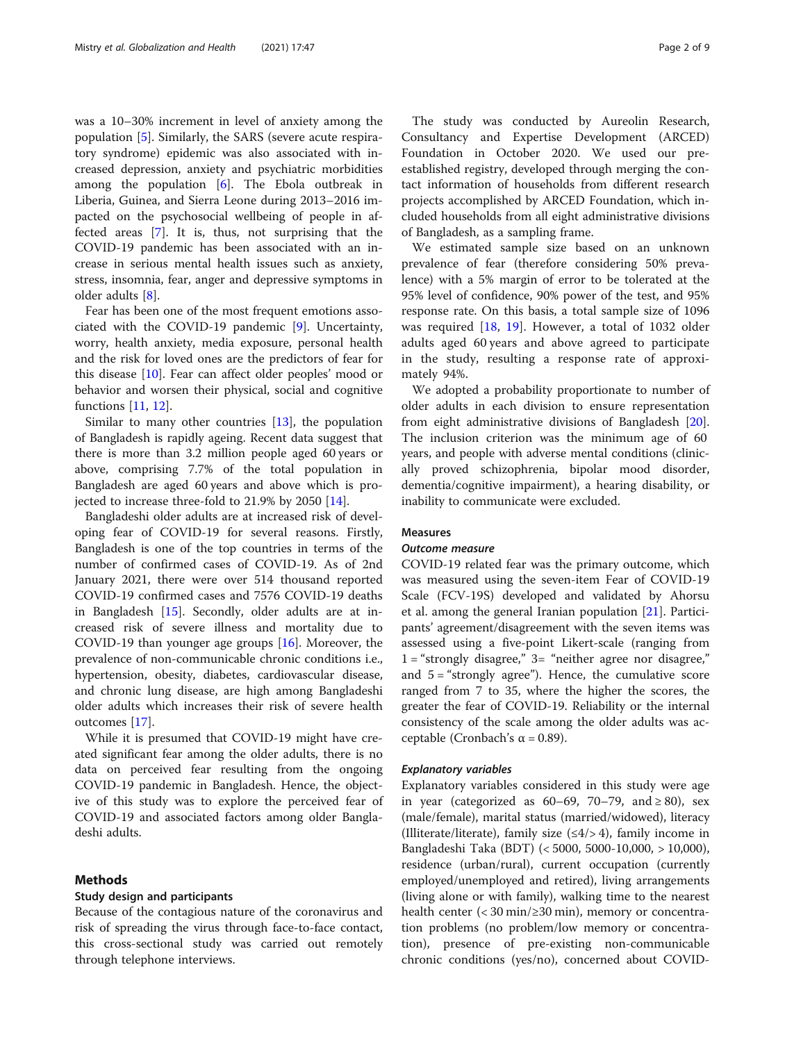was a 10–30% increment in level of anxiety among the population [[5\]](#page-7-0). Similarly, the SARS (severe acute respiratory syndrome) epidemic was also associated with increased depression, anxiety and psychiatric morbidities among the population [\[6](#page-7-0)]. The Ebola outbreak in Liberia, Guinea, and Sierra Leone during 2013–2016 impacted on the psychosocial wellbeing of people in affected areas [[7\]](#page-7-0). It is, thus, not surprising that the COVID-19 pandemic has been associated with an increase in serious mental health issues such as anxiety, stress, insomnia, fear, anger and depressive symptoms in older adults [\[8](#page-7-0)].

Fear has been one of the most frequent emotions associated with the COVID-19 pandemic [[9\]](#page-7-0). Uncertainty, worry, health anxiety, media exposure, personal health and the risk for loved ones are the predictors of fear for this disease [\[10](#page-7-0)]. Fear can affect older peoples' mood or behavior and worsen their physical, social and cognitive functions [[11,](#page-7-0) [12\]](#page-7-0).

Similar to many other countries [\[13](#page-7-0)], the population of Bangladesh is rapidly ageing. Recent data suggest that there is more than 3.2 million people aged 60 years or above, comprising 7.7% of the total population in Bangladesh are aged 60 years and above which is projected to increase three-fold to 21.9% by 2050 [\[14\]](#page-7-0).

Bangladeshi older adults are at increased risk of developing fear of COVID-19 for several reasons. Firstly, Bangladesh is one of the top countries in terms of the number of confirmed cases of COVID-19. As of 2nd January 2021, there were over 514 thousand reported COVID-19 confirmed cases and 7576 COVID-19 deaths in Bangladesh [\[15](#page-7-0)]. Secondly, older adults are at increased risk of severe illness and mortality due to COVID-19 than younger age groups [[16\]](#page-7-0). Moreover, the prevalence of non-communicable chronic conditions i.e., hypertension, obesity, diabetes, cardiovascular disease, and chronic lung disease, are high among Bangladeshi older adults which increases their risk of severe health outcomes [\[17](#page-7-0)].

While it is presumed that COVID-19 might have created significant fear among the older adults, there is no data on perceived fear resulting from the ongoing COVID-19 pandemic in Bangladesh. Hence, the objective of this study was to explore the perceived fear of COVID-19 and associated factors among older Bangladeshi adults.

# Methods

# Study design and participants

Because of the contagious nature of the coronavirus and risk of spreading the virus through face-to-face contact, this cross-sectional study was carried out remotely through telephone interviews.

The study was conducted by Aureolin Research, Consultancy and Expertise Development (ARCED) Foundation in October 2020. We used our preestablished registry, developed through merging the contact information of households from different research projects accomplished by ARCED Foundation, which included households from all eight administrative divisions of Bangladesh, as a sampling frame.

We estimated sample size based on an unknown prevalence of fear (therefore considering 50% prevalence) with a 5% margin of error to be tolerated at the 95% level of confidence, 90% power of the test, and 95% response rate. On this basis, a total sample size of 1096 was required [\[18](#page-7-0), [19](#page-7-0)]. However, a total of 1032 older adults aged 60 years and above agreed to participate in the study, resulting a response rate of approximately 94%.

We adopted a probability proportionate to number of older adults in each division to ensure representation from eight administrative divisions of Bangladesh [\[20](#page-7-0)]. The inclusion criterion was the minimum age of 60 years, and people with adverse mental conditions (clinically proved schizophrenia, bipolar mood disorder, dementia/cognitive impairment), a hearing disability, or inability to communicate were excluded.

# Measures

# Outcome measure

COVID-19 related fear was the primary outcome, which was measured using the seven-item Fear of COVID-19 Scale (FCV-19S) developed and validated by Ahorsu et al. among the general Iranian population [\[21](#page-7-0)]. Participants' agreement/disagreement with the seven items was assessed using a five-point Likert-scale (ranging from  $1 =$  "strongly disagree,"  $3 =$  "neither agree nor disagree," and  $5 =$  "strongly agree"). Hence, the cumulative score ranged from 7 to 35, where the higher the scores, the greater the fear of COVID-19. Reliability or the internal consistency of the scale among the older adults was acceptable (Cronbach's  $\alpha$  = 0.89).

#### Explanatory variables

Explanatory variables considered in this study were age in year (categorized as  $60-69$ ,  $70-79$ , and  $\geq 80$ ), sex (male/female), marital status (married/widowed), literacy (Illiterate/literate), family size  $(\leq 4/2, 4)$ , family income in Bangladeshi Taka (BDT) (< 5000, 5000-10,000, > 10,000), residence (urban/rural), current occupation (currently employed/unemployed and retired), living arrangements (living alone or with family), walking time to the nearest health center (< 30 min/≥30 min), memory or concentration problems (no problem/low memory or concentration), presence of pre-existing non-communicable chronic conditions (yes/no), concerned about COVID-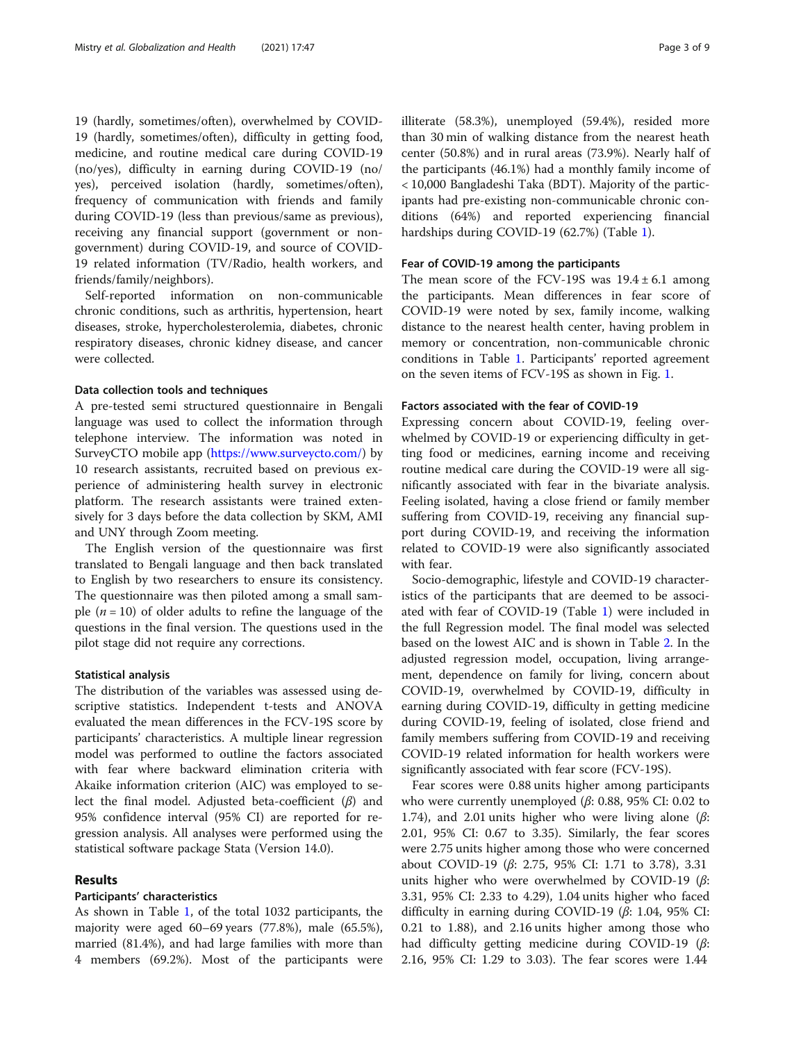19 (hardly, sometimes/often), overwhelmed by COVID-19 (hardly, sometimes/often), difficulty in getting food, medicine, and routine medical care during COVID-19 (no/yes), difficulty in earning during COVID-19 (no/ yes), perceived isolation (hardly, sometimes/often), frequency of communication with friends and family during COVID-19 (less than previous/same as previous), receiving any financial support (government or nongovernment) during COVID-19, and source of COVID-19 related information (TV/Radio, health workers, and friends/family/neighbors).

Self-reported information on non-communicable chronic conditions, such as arthritis, hypertension, heart diseases, stroke, hypercholesterolemia, diabetes, chronic respiratory diseases, chronic kidney disease, and cancer were collected.

# Data collection tools and techniques

A pre-tested semi structured questionnaire in Bengali language was used to collect the information through telephone interview. The information was noted in SurveyCTO mobile app ([https://www.surveycto.com/\)](https://www.surveycto.com/) by 10 research assistants, recruited based on previous experience of administering health survey in electronic platform. The research assistants were trained extensively for 3 days before the data collection by SKM, AMI and UNY through Zoom meeting.

The English version of the questionnaire was first translated to Bengali language and then back translated to English by two researchers to ensure its consistency. The questionnaire was then piloted among a small sample  $(n = 10)$  of older adults to refine the language of the questions in the final version. The questions used in the pilot stage did not require any corrections.

# Statistical analysis

The distribution of the variables was assessed using descriptive statistics. Independent t-tests and ANOVA evaluated the mean differences in the FCV-19S score by participants' characteristics. A multiple linear regression model was performed to outline the factors associated with fear where backward elimination criteria with Akaike information criterion (AIC) was employed to select the final model. Adjusted beta-coefficient  $(\beta)$  and 95% confidence interval (95% CI) are reported for regression analysis. All analyses were performed using the statistical software package Stata (Version 14.0).

# Results

# Participants' characteristics

As shown in Table [1,](#page-3-0) of the total 1032 participants, the majority were aged 60–69 years (77.8%), male (65.5%), married (81.4%), and had large families with more than 4 members (69.2%). Most of the participants were

illiterate (58.3%), unemployed (59.4%), resided more than 30 min of walking distance from the nearest heath center (50.8%) and in rural areas (73.9%). Nearly half of the participants (46.1%) had a monthly family income of < 10,000 Bangladeshi Taka (BDT). Majority of the participants had pre-existing non-communicable chronic conditions (64%) and reported experiencing financial hardships during COVID-19 (62.7%) (Table [1\)](#page-3-0).

# Fear of COVID-19 among the participants

The mean score of the FCV-19S was  $19.4 \pm 6.1$  among the participants. Mean differences in fear score of COVID-19 were noted by sex, family income, walking distance to the nearest health center, having problem in memory or concentration, non-communicable chronic conditions in Table [1.](#page-3-0) Participants' reported agreement on the seven items of FCV-19S as shown in Fig. [1](#page-5-0).

### Factors associated with the fear of COVID-19

Expressing concern about COVID-19, feeling overwhelmed by COVID-19 or experiencing difficulty in getting food or medicines, earning income and receiving routine medical care during the COVID-19 were all significantly associated with fear in the bivariate analysis. Feeling isolated, having a close friend or family member suffering from COVID-19, receiving any financial support during COVID-19, and receiving the information related to COVID-19 were also significantly associated with fear.

Socio-demographic, lifestyle and COVID-19 characteristics of the participants that are deemed to be associated with fear of COVID-19 (Table [1\)](#page-3-0) were included in the full Regression model. The final model was selected based on the lowest AIC and is shown in Table [2.](#page-6-0) In the adjusted regression model, occupation, living arrangement, dependence on family for living, concern about COVID-19, overwhelmed by COVID-19, difficulty in earning during COVID-19, difficulty in getting medicine during COVID-19, feeling of isolated, close friend and family members suffering from COVID-19 and receiving COVID-19 related information for health workers were significantly associated with fear score (FCV-19S).

Fear scores were 0.88 units higher among participants who were currently unemployed ( $β$ : 0.88, 95% CI: 0.02 to 1.74), and 2.01 units higher who were living alone ( $\beta$ : 2.01, 95% CI: 0.67 to 3.35). Similarly, the fear scores were 2.75 units higher among those who were concerned about COVID-19 (β: 2.75, 95% CI: 1.71 to 3.78), 3.31 units higher who were overwhelmed by COVID-19 ( $\beta$ : 3.31, 95% CI: 2.33 to 4.29), 1.04 units higher who faced difficulty in earning during COVID-19  $(\beta: 1.04, 95\% \text{ CI:})$ 0.21 to 1.88), and 2.16 units higher among those who had difficulty getting medicine during COVID-19 (β: 2.16, 95% CI: 1.29 to 3.03). The fear scores were 1.44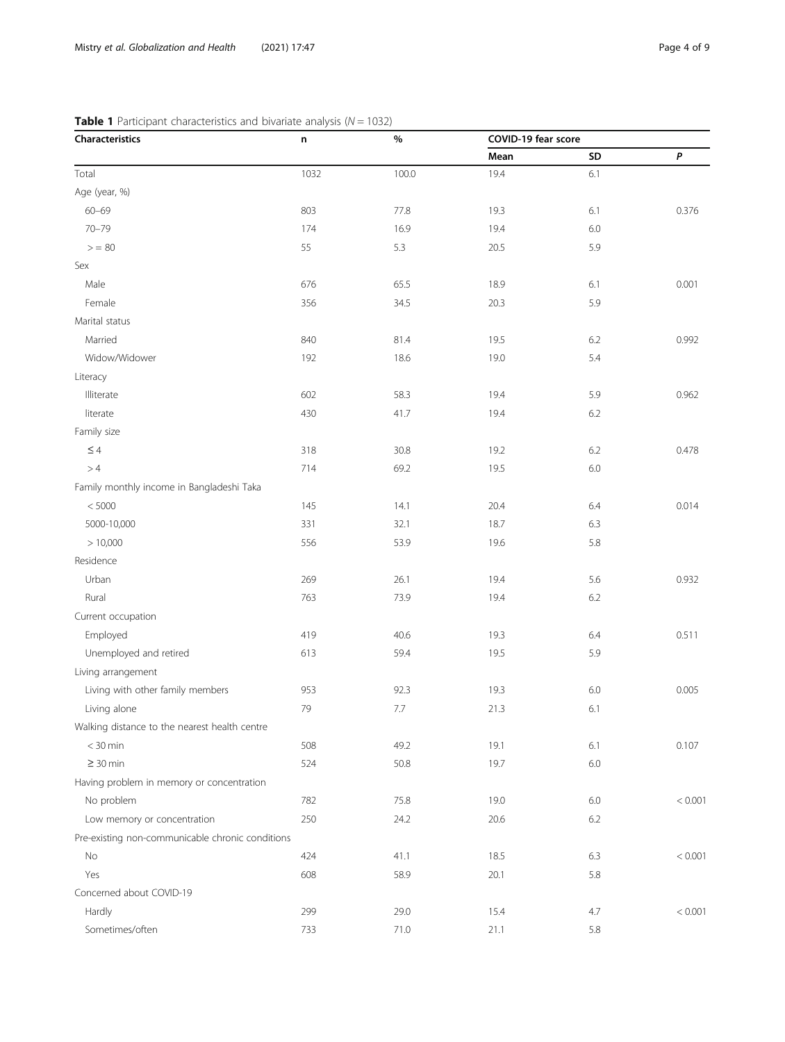# <span id="page-3-0"></span>**Table 1** Participant characteristics and bivariate analysis ( $N = 1032$ )

| Characteristics                                  | n    | $\%$    | COVID-19 fear score |     |         |  |
|--------------------------------------------------|------|---------|---------------------|-----|---------|--|
|                                                  |      |         | Mean                | SD  | P       |  |
| Total                                            | 1032 | 100.0   | 19.4                | 6.1 |         |  |
| Age (year, %)                                    |      |         |                     |     |         |  |
| $60 - 69$                                        | 803  | 77.8    | 19.3                | 6.1 | 0.376   |  |
| $70 - 79$                                        | 174  | 16.9    | 19.4                | 6.0 |         |  |
| $>= 80$                                          | 55   | 5.3     | 20.5                | 5.9 |         |  |
| Sex                                              |      |         |                     |     |         |  |
| Male                                             | 676  | 65.5    | 18.9                | 6.1 | 0.001   |  |
| Female                                           | 356  | 34.5    | 20.3                | 5.9 |         |  |
| Marital status                                   |      |         |                     |     |         |  |
| Married                                          | 840  | 81.4    | 19.5                | 6.2 | 0.992   |  |
| Widow/Widower                                    | 192  | 18.6    | 19.0                | 5.4 |         |  |
| Literacy                                         |      |         |                     |     |         |  |
| Illiterate                                       | 602  | 58.3    | 19.4                | 5.9 | 0.962   |  |
| literate                                         | 430  | 41.7    | 19.4                | 6.2 |         |  |
| Family size                                      |      |         |                     |     |         |  |
| $\leq 4$                                         | 318  | 30.8    | 19.2                | 6.2 | 0.478   |  |
| >4                                               | 714  | 69.2    | 19.5                | 6.0 |         |  |
| Family monthly income in Bangladeshi Taka        |      |         |                     |     |         |  |
| < 5000                                           | 145  | 14.1    | 20.4                | 6.4 | 0.014   |  |
| 5000-10,000                                      | 331  | 32.1    | 18.7                | 6.3 |         |  |
| >10,000                                          | 556  | 53.9    | 19.6                | 5.8 |         |  |
| Residence                                        |      |         |                     |     |         |  |
| Urban                                            | 269  | 26.1    | 19.4                | 5.6 | 0.932   |  |
| Rural                                            | 763  | 73.9    | 19.4                | 6.2 |         |  |
| Current occupation                               |      |         |                     |     |         |  |
| Employed                                         | 419  | 40.6    | 19.3                | 6.4 | 0.511   |  |
| Unemployed and retired                           | 613  | 59.4    | 19.5                | 5.9 |         |  |
| Living arrangement                               |      |         |                     |     |         |  |
| Living with other family members                 | 953  | 92.3    | 19.3                | 6.0 | 0.005   |  |
| Living alone                                     | 79   | $7.7\,$ | 21.3                | 6.1 |         |  |
| Walking distance to the nearest health centre    |      |         |                     |     |         |  |
| $<$ 30 min                                       | 508  | 49.2    | 19.1                | 6.1 | 0.107   |  |
| $\geq$ 30 min                                    | 524  | 50.8    | 19.7                | 6.0 |         |  |
| Having problem in memory or concentration        |      |         |                     |     |         |  |
| No problem                                       | 782  | 75.8    | 19.0                | 6.0 | < 0.001 |  |
| Low memory or concentration                      | 250  | 24.2    | 20.6                | 6.2 |         |  |
| Pre-existing non-communicable chronic conditions |      |         |                     |     |         |  |
| No                                               | 424  | 41.1    | 18.5                | 6.3 | < 0.001 |  |
| Yes                                              | 608  | 58.9    | 20.1                | 5.8 |         |  |
| Concerned about COVID-19                         |      |         |                     |     |         |  |
| Hardly                                           | 299  | 29.0    | 15.4                | 4.7 | < 0.001 |  |
| Sometimes/often                                  | 733  | 71.0    | 21.1                | 5.8 |         |  |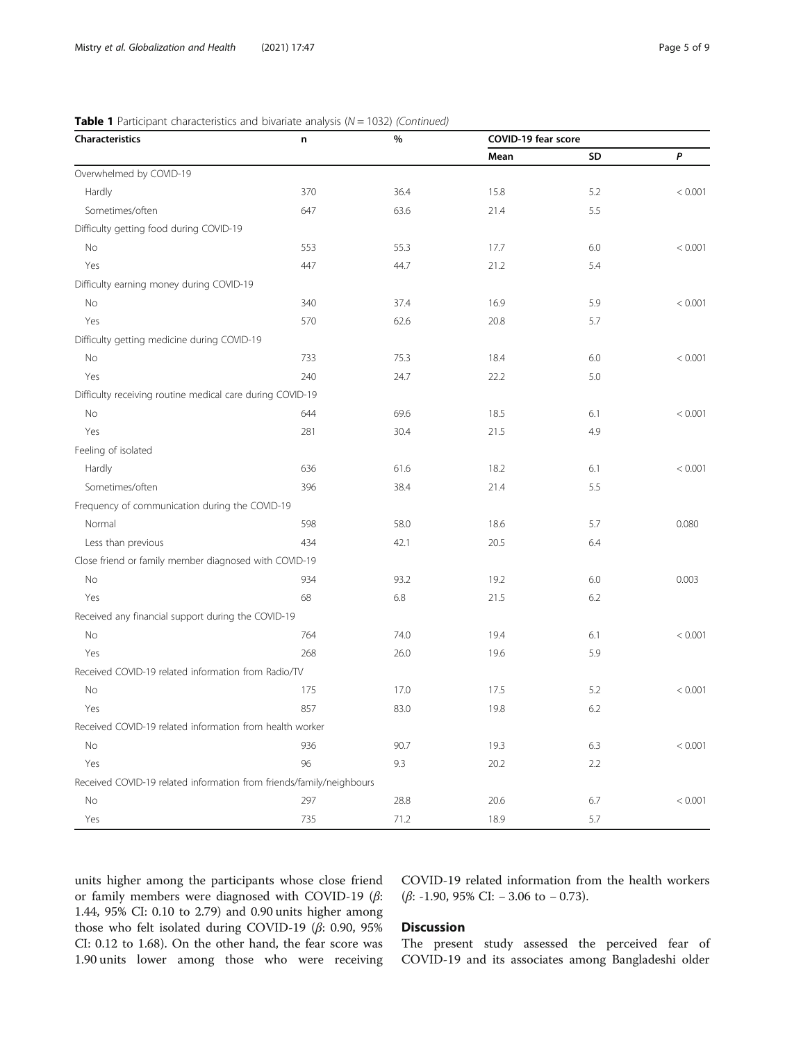| <b>Table 1</b> Participant characteristics and bivariate analysis ( $N = 1032$ ) (Continued) |  |  |  |  |  |  |  |  |  |  |  |
|----------------------------------------------------------------------------------------------|--|--|--|--|--|--|--|--|--|--|--|
|----------------------------------------------------------------------------------------------|--|--|--|--|--|--|--|--|--|--|--|

| Characteristics                                                      | n   | $\%$ | COVID-19 fear score |     |         |  |
|----------------------------------------------------------------------|-----|------|---------------------|-----|---------|--|
|                                                                      |     |      | Mean                | SD  | P       |  |
| Overwhelmed by COVID-19                                              |     |      |                     |     |         |  |
| Hardly                                                               | 370 | 36.4 | 15.8                | 5.2 | < 0.001 |  |
| Sometimes/often                                                      | 647 | 63.6 | 21.4                | 5.5 |         |  |
| Difficulty getting food during COVID-19                              |     |      |                     |     |         |  |
| No                                                                   | 553 | 55.3 | 17.7                | 6.0 | < 0.001 |  |
| Yes                                                                  | 447 | 44.7 | 21.2                | 5.4 |         |  |
| Difficulty earning money during COVID-19                             |     |      |                     |     |         |  |
| No                                                                   | 340 | 37.4 | 16.9                | 5.9 | < 0.001 |  |
| Yes                                                                  | 570 | 62.6 | 20.8                | 5.7 |         |  |
| Difficulty getting medicine during COVID-19                          |     |      |                     |     |         |  |
| No                                                                   | 733 | 75.3 | 18.4                | 6.0 | < 0.001 |  |
| Yes                                                                  | 240 | 24.7 | 22.2                | 5.0 |         |  |
| Difficulty receiving routine medical care during COVID-19            |     |      |                     |     |         |  |
| No                                                                   | 644 | 69.6 | 18.5                | 6.1 | < 0.001 |  |
| Yes                                                                  | 281 | 30.4 | 21.5                | 4.9 |         |  |
| Feeling of isolated                                                  |     |      |                     |     |         |  |
| Hardly                                                               | 636 | 61.6 | 18.2                | 6.1 | < 0.001 |  |
| Sometimes/often                                                      | 396 | 38.4 | 21.4                | 5.5 |         |  |
| Frequency of communication during the COVID-19                       |     |      |                     |     |         |  |
| Normal                                                               | 598 | 58.0 | 18.6                | 5.7 | 0.080   |  |
| Less than previous                                                   | 434 | 42.1 | 20.5                | 6.4 |         |  |
| Close friend or family member diagnosed with COVID-19                |     |      |                     |     |         |  |
| No                                                                   | 934 | 93.2 | 19.2                | 6.0 | 0.003   |  |
| Yes                                                                  | 68  | 6.8  | 21.5                | 6.2 |         |  |
| Received any financial support during the COVID-19                   |     |      |                     |     |         |  |
| No                                                                   | 764 | 74.0 | 19.4                | 6.1 | < 0.001 |  |
| Yes                                                                  | 268 | 26.0 | 19.6                | 5.9 |         |  |
| Received COVID-19 related information from Radio/TV                  |     |      |                     |     |         |  |
| No                                                                   | 175 | 17.0 | 17.5                | 5.2 | < 0.001 |  |
| Yes                                                                  | 857 | 83.0 | 19.8                | 6.2 |         |  |
| Received COVID-19 related information from health worker             |     |      |                     |     |         |  |
| No                                                                   | 936 | 90.7 | 19.3                | 6.3 | < 0.001 |  |
| Yes                                                                  | 96  | 9.3  | 20.2                | 2.2 |         |  |
| Received COVID-19 related information from friends/family/neighbours |     |      |                     |     |         |  |
| No                                                                   | 297 | 28.8 | 20.6                | 6.7 | < 0.001 |  |
| Yes                                                                  | 735 | 71.2 | 18.9                | 5.7 |         |  |

units higher among the participants whose close friend or family members were diagnosed with COVID-19 (β: 1.44, 95% CI: 0.10 to 2.79) and 0.90 units higher among those who felt isolated during COVID-19 (β: 0.90, 95% CI: 0.12 to 1.68). On the other hand, the fear score was 1.90 units lower among those who were receiving

COVID-19 related information from the health workers (β: -1.90, 95% CI: − 3.06 to − 0.73).

# Discussion

The present study assessed the perceived fear of COVID-19 and its associates among Bangladeshi older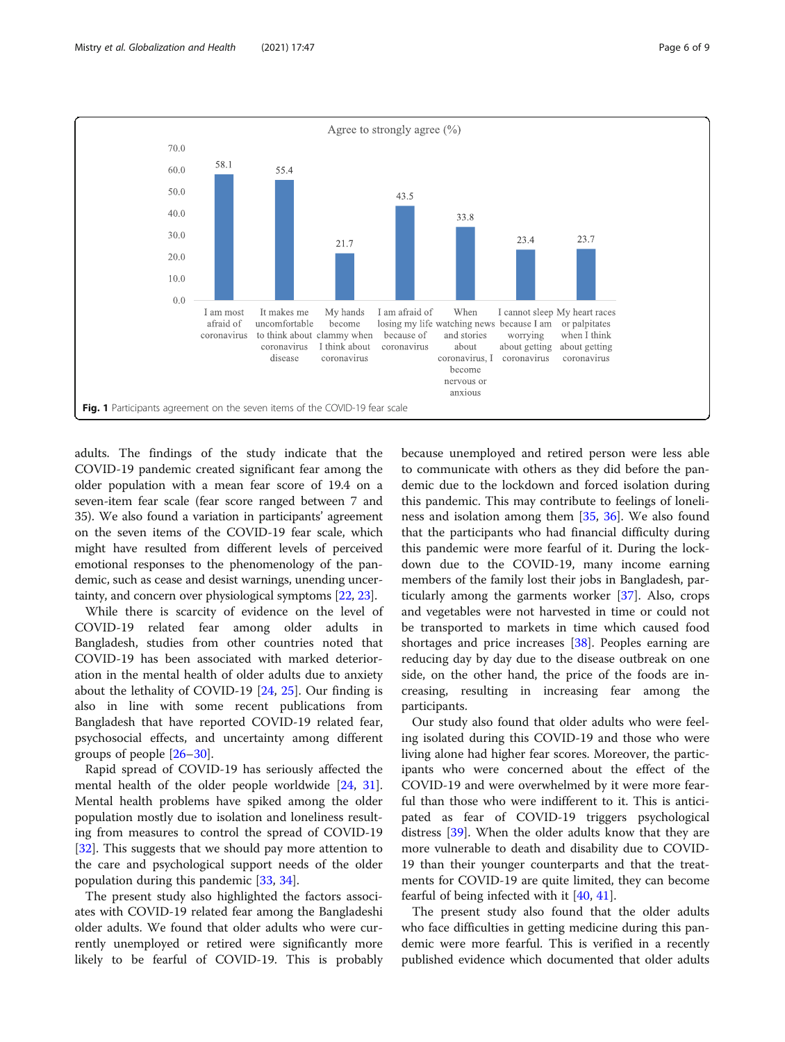<span id="page-5-0"></span>

adults. The findings of the study indicate that the COVID-19 pandemic created significant fear among the older population with a mean fear score of 19.4 on a seven-item fear scale (fear score ranged between 7 and 35). We also found a variation in participants' agreement on the seven items of the COVID-19 fear scale, which might have resulted from different levels of perceived emotional responses to the phenomenology of the pandemic, such as cease and desist warnings, unending uncertainty, and concern over physiological symptoms [\[22,](#page-7-0) [23](#page-7-0)].

While there is scarcity of evidence on the level of COVID-19 related fear among older adults in Bangladesh, studies from other countries noted that COVID-19 has been associated with marked deterioration in the mental health of older adults due to anxiety about the lethality of COVID-19 [\[24](#page-7-0), [25](#page-7-0)]. Our finding is also in line with some recent publications from Bangladesh that have reported COVID-19 related fear, psychosocial effects, and uncertainty among different groups of people [\[26](#page-7-0)–[30\]](#page-7-0).

Rapid spread of COVID-19 has seriously affected the mental health of the older people worldwide [[24](#page-7-0), [31](#page-7-0)]. Mental health problems have spiked among the older population mostly due to isolation and loneliness resulting from measures to control the spread of COVID-19 [[32\]](#page-7-0). This suggests that we should pay more attention to the care and psychological support needs of the older population during this pandemic [\[33](#page-7-0), [34\]](#page-7-0).

The present study also highlighted the factors associates with COVID-19 related fear among the Bangladeshi older adults. We found that older adults who were currently unemployed or retired were significantly more likely to be fearful of COVID-19. This is probably because unemployed and retired person were less able to communicate with others as they did before the pandemic due to the lockdown and forced isolation during this pandemic. This may contribute to feelings of loneliness and isolation among them [\[35](#page-8-0), [36\]](#page-8-0). We also found that the participants who had financial difficulty during this pandemic were more fearful of it. During the lockdown due to the COVID-19, many income earning members of the family lost their jobs in Bangladesh, particularly among the garments worker [\[37](#page-8-0)]. Also, crops and vegetables were not harvested in time or could not be transported to markets in time which caused food shortages and price increases [\[38\]](#page-8-0). Peoples earning are reducing day by day due to the disease outbreak on one side, on the other hand, the price of the foods are increasing, resulting in increasing fear among the participants.

Our study also found that older adults who were feeling isolated during this COVID-19 and those who were living alone had higher fear scores. Moreover, the participants who were concerned about the effect of the COVID-19 and were overwhelmed by it were more fearful than those who were indifferent to it. This is anticipated as fear of COVID-19 triggers psychological distress [\[39\]](#page-8-0). When the older adults know that they are more vulnerable to death and disability due to COVID-19 than their younger counterparts and that the treatments for COVID-19 are quite limited, they can become fearful of being infected with it [[40,](#page-8-0) [41\]](#page-8-0).

The present study also found that the older adults who face difficulties in getting medicine during this pandemic were more fearful. This is verified in a recently published evidence which documented that older adults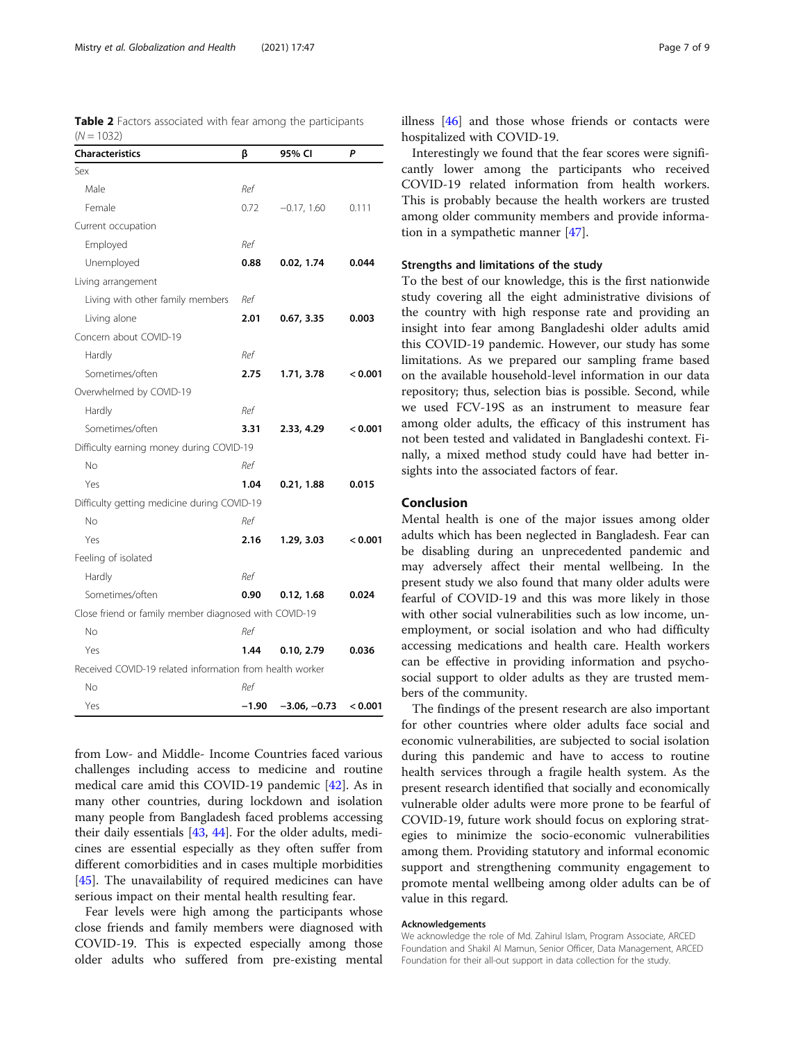<span id="page-6-0"></span>

| Table 2 Factors associated with fear among the participants |  |  |  |
|-------------------------------------------------------------|--|--|--|
| $(N = 1032)$                                                |  |  |  |

| <b>Characteristics</b>                                   | β       | 95% CI         | P       |
|----------------------------------------------------------|---------|----------------|---------|
| Sex                                                      |         |                |         |
| Male                                                     | Ref     |                |         |
| Female                                                   | 0.72    | $-0.17, 1.60$  | 0.111   |
| Current occupation                                       |         |                |         |
| Employed                                                 | Ref     |                |         |
| Unemployed                                               | 0.88    | 0.02, 1.74     | 0.044   |
| Living arrangement                                       |         |                |         |
| Living with other family members                         | Ref     |                |         |
| Living alone                                             | 2.01    | 0.67, 3.35     | 0.003   |
| Concern about COVID-19                                   |         |                |         |
| Hardly                                                   | Ref     |                |         |
| Sometimes/often                                          | 2.75    | 1.71, 3.78     | < 0.001 |
| Overwhelmed by COVID-19                                  |         |                |         |
| Hardly                                                   | Ref     |                |         |
| Sometimes/often                                          | 3.31    | 2.33, 4.29     | < 0.001 |
| Difficulty earning money during COVID-19                 |         |                |         |
| No                                                       | Ref     |                |         |
| Yes                                                      | 1.04    | 0.21, 1.88     | 0.015   |
| Difficulty getting medicine during COVID-19              |         |                |         |
| Nο                                                       | Ref     |                |         |
| Yes                                                      | 2.16    | 1.29, 3.03     | < 0.001 |
| Feeling of isolated                                      |         |                |         |
| Hardly                                                   | Ref     |                |         |
| Sometimes/often                                          | 0.90    | 0.12, 1.68     | 0.024   |
| Close friend or family member diagnosed with COVID-19    |         |                |         |
| No                                                       | Ref     |                |         |
| Yes                                                      | 1.44    | 0.10, 2.79     | 0.036   |
| Received COVID-19 related information from health worker |         |                |         |
| No                                                       | Ref     |                |         |
| Yes                                                      | $-1.90$ | $-3.06, -0.73$ | < 0.001 |

from Low- and Middle- Income Countries faced various challenges including access to medicine and routine medical care amid this COVID-19 pandemic [[42](#page-8-0)]. As in many other countries, during lockdown and isolation many people from Bangladesh faced problems accessing their daily essentials [[43,](#page-8-0) [44\]](#page-8-0). For the older adults, medicines are essential especially as they often suffer from different comorbidities and in cases multiple morbidities [[45\]](#page-8-0). The unavailability of required medicines can have serious impact on their mental health resulting fear.

Fear levels were high among the participants whose close friends and family members were diagnosed with COVID-19. This is expected especially among those older adults who suffered from pre-existing mental illness [[46\]](#page-8-0) and those whose friends or contacts were hospitalized with COVID-19.

Interestingly we found that the fear scores were significantly lower among the participants who received COVID-19 related information from health workers. This is probably because the health workers are trusted among older community members and provide information in a sympathetic manner [[47\]](#page-8-0).

# Strengths and limitations of the study

To the best of our knowledge, this is the first nationwide study covering all the eight administrative divisions of the country with high response rate and providing an insight into fear among Bangladeshi older adults amid this COVID-19 pandemic. However, our study has some limitations. As we prepared our sampling frame based on the available household-level information in our data repository; thus, selection bias is possible. Second, while we used FCV-19S as an instrument to measure fear among older adults, the efficacy of this instrument has not been tested and validated in Bangladeshi context. Finally, a mixed method study could have had better insights into the associated factors of fear.

# Conclusion

Mental health is one of the major issues among older adults which has been neglected in Bangladesh. Fear can be disabling during an unprecedented pandemic and may adversely affect their mental wellbeing. In the present study we also found that many older adults were fearful of COVID-19 and this was more likely in those with other social vulnerabilities such as low income, unemployment, or social isolation and who had difficulty accessing medications and health care. Health workers can be effective in providing information and psychosocial support to older adults as they are trusted members of the community.

The findings of the present research are also important for other countries where older adults face social and economic vulnerabilities, are subjected to social isolation during this pandemic and have to access to routine health services through a fragile health system. As the present research identified that socially and economically vulnerable older adults were more prone to be fearful of COVID-19, future work should focus on exploring strategies to minimize the socio-economic vulnerabilities among them. Providing statutory and informal economic support and strengthening community engagement to promote mental wellbeing among older adults can be of value in this regard.

#### Acknowledgements

We acknowledge the role of Md. Zahirul Islam, Program Associate, ARCED Foundation and Shakil Al Mamun, Senior Officer, Data Management, ARCED Foundation for their all-out support in data collection for the study.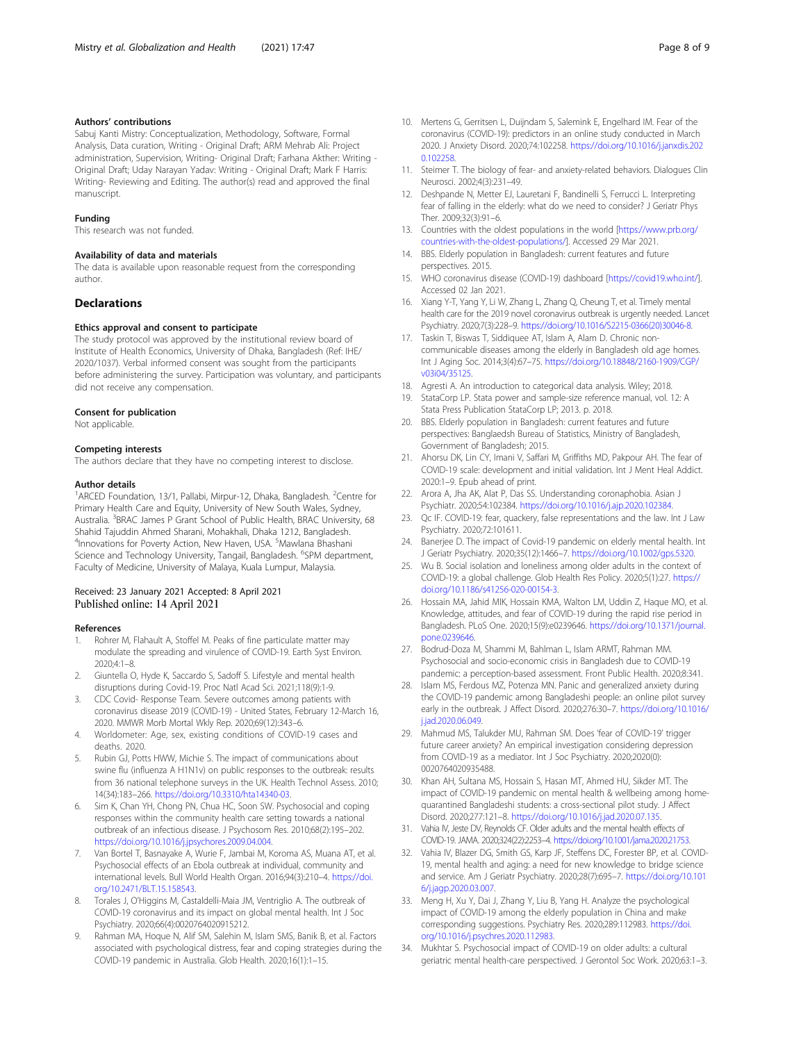# <span id="page-7-0"></span>Authors' contributions

Sabuj Kanti Mistry: Conceptualization, Methodology, Software, Formal Analysis, Data curation, Writing - Original Draft; ARM Mehrab Ali: Project administration, Supervision, Writing- Original Draft; Farhana Akther: Writing - Original Draft; Uday Narayan Yadav: Writing - Original Draft; Mark F Harris: Writing- Reviewing and Editing. The author(s) read and approved the final manuscript.

#### Funding

This research was not funded.

#### Availability of data and materials

The data is available upon reasonable request from the corresponding author.

## **Declarations**

#### Ethics approval and consent to participate

The study protocol was approved by the institutional review board of Institute of Health Economics, University of Dhaka, Bangladesh (Ref: IHE/ 2020/1037). Verbal informed consent was sought from the participants before administering the survey. Participation was voluntary, and participants did not receive any compensation.

#### Consent for publication

Not applicable.

#### Competing interests

The authors declare that they have no competing interest to disclose.

#### Author details

<sup>1</sup>ARCED Foundation, 13/1, Pallabi, Mirpur-12, Dhaka, Bangladesh. <sup>2</sup>Centre for Primary Health Care and Equity, University of New South Wales, Sydney, Australia. <sup>3</sup>BRAC James P Grant School of Public Health, BRAC University, 68 Shahid Tajuddin Ahmed Sharani, Mohakhali, Dhaka 1212, Bangladesh. <sup>4</sup> Innovations for Poverty Action, New Haven, USA. <sup>5</sup> Mawlana Bhashani Science and Technology University, Tangail, Bangladesh. <sup>6</sup>SPM department, Faculty of Medicine, University of Malaya, Kuala Lumpur, Malaysia.

# Received: 23 January 2021 Accepted: 8 April 2021 Published online: 14 April 2021

#### References

- 1. Rohrer M, Flahault A, Stoffel M. Peaks of fine particulate matter may modulate the spreading and virulence of COVID-19. Earth Syst Environ. 2020;4:1–8.
- 2. Giuntella O, Hyde K, Saccardo S, Sadoff S. Lifestyle and mental health disruptions during Covid-19. Proc Natl Acad Sci. 2021;118(9):1-9.
- 3. CDC Covid- Response Team. Severe outcomes among patients with coronavirus disease 2019 (COVID-19) - United States, February 12-March 16, 2020. MMWR Morb Mortal Wkly Rep. 2020;69(12):343–6.
- 4. Worldometer: Age, sex, existing conditions of COVID-19 cases and deaths. 2020.
- 5. Rubin GJ, Potts HWW, Michie S. The impact of communications about swine flu (influenza A H1N1v) on public responses to the outbreak: results from 36 national telephone surveys in the UK. Health Technol Assess. 2010; 14(34):183–266. [https://doi.org/10.3310/hta14340-03.](https://doi.org/10.3310/hta14340-03)
- 6. Sim K, Chan YH, Chong PN, Chua HC, Soon SW. Psychosocial and coping responses within the community health care setting towards a national outbreak of an infectious disease. J Psychosom Res. 2010;68(2):195–202. [https://doi.org/10.1016/j.jpsychores.2009.04.004.](https://doi.org/10.1016/j.jpsychores.2009.04.004)
- Van Bortel T, Basnayake A, Wurie F, Jambai M, Koroma AS, Muana AT, et al. Psychosocial effects of an Ebola outbreak at individual, community and international levels. Bull World Health Organ. 2016;94(3):210–4. [https://doi.](https://doi.org/10.2471/BLT.15.158543) [org/10.2471/BLT.15.158543.](https://doi.org/10.2471/BLT.15.158543)
- Torales J, O'Higgins M, Castaldelli-Maia JM, Ventriglio A. The outbreak of COVID-19 coronavirus and its impact on global mental health. Int J Soc Psychiatry. 2020;66(4):0020764020915212.
- 9. Rahman MA, Hoque N, Alif SM, Salehin M, Islam SMS, Banik B, et al. Factors associated with psychological distress, fear and coping strategies during the COVID-19 pandemic in Australia. Glob Health. 2020;16(1):1–15.
- 10. Mertens G, Gerritsen L, Duijndam S, Salemink E, Engelhard IM. Fear of the coronavirus (COVID-19): predictors in an online study conducted in March 2020. J Anxiety Disord. 2020;74:102258. [https://doi.org/10.1016/j.janxdis.202](https://doi.org/10.1016/j.janxdis.2020.102258) [0.102258.](https://doi.org/10.1016/j.janxdis.2020.102258)
- 11. Steimer T. The biology of fear- and anxiety-related behaviors. Dialogues Clin Neurosci. 2002;4(3):231–49.
- 12. Deshpande N, Metter EJ, Lauretani F, Bandinelli S, Ferrucci L. Interpreting fear of falling in the elderly: what do we need to consider? J Geriatr Phys Ther. 2009;32(3):91–6.
- 13. Countries with the oldest populations in the world [\[https://www.prb.org/](https://www.prb.org/countries-with-the-oldest-populations/) [countries-with-the-oldest-populations/](https://www.prb.org/countries-with-the-oldest-populations/)]. Accessed 29 Mar 2021.
- 14. BBS. Elderly population in Bangladesh: current features and future perspectives. 2015.
- 15. WHO coronavirus disease (COVID-19) dashboard [[https://covid19.who.int/\]](https://covid19.who.int/). Accessed 02 Jan 2021.
- 16. Xiang Y-T, Yang Y, Li W, Zhang L, Zhang Q, Cheung T, et al. Timely mental health care for the 2019 novel coronavirus outbreak is urgently needed. Lancet Psychiatry. 2020;7(3):228–9. [https://doi.org/10.1016/S2215-0366\(20\)30046-8](https://doi.org/10.1016/S2215-0366(20)30046-8).
- 17. Taskin T, Biswas T, Siddiquee AT, Islam A, Alam D. Chronic noncommunicable diseases among the elderly in Bangladesh old age homes. Int J Aging Soc. 2014;3(4):67–75. [https://doi.org/10.18848/2160-1909/CGP/](https://doi.org/10.18848/2160-1909/CGP/v03i04/35125) [v03i04/35125.](https://doi.org/10.18848/2160-1909/CGP/v03i04/35125)
- 18. Agresti A. An introduction to categorical data analysis. Wiley; 2018.
- 19. StataCorp LP. Stata power and sample-size reference manual, vol. 12: A Stata Press Publication StataCorp LP; 2013. p. 2018.
- 20. BBS. Elderly population in Bangladesh: current features and future perspectives: Banglaedsh Bureau of Statistics, Ministry of Bangladesh, Government of Bangladesh; 2015.
- 21. Ahorsu DK, Lin CY, Imani V, Saffari M, Griffiths MD, Pakpour AH. The fear of COVID-19 scale: development and initial validation. Int J Ment Heal Addict. 2020:1–9. Epub ahead of print.
- 22. Arora A, Jha AK, Alat P, Das SS. Understanding coronaphobia. Asian J Psychiatr. 2020;54:102384. [https://doi.org/10.1016/j.ajp.2020.102384.](https://doi.org/10.1016/j.ajp.2020.102384)
- 23. Qc IF. COVID-19: fear, quackery, false representations and the law. Int J Law Psychiatry. 2020;72:101611.
- 24. Banerjee D. The impact of Covid-19 pandemic on elderly mental health. Int J Geriatr Psychiatry. 2020;35(12):1466–7. <https://doi.org/10.1002/gps.5320>.
- 25. Wu B. Social isolation and loneliness among older adults in the context of COVID-19: a global challenge. Glob Health Res Policy. 2020;5(1):27. [https://](https://doi.org/10.1186/s41256-020-00154-3) [doi.org/10.1186/s41256-020-00154-3.](https://doi.org/10.1186/s41256-020-00154-3)
- 26. Hossain MA, Jahid MIK, Hossain KMA, Walton LM, Uddin Z, Haque MO, et al. Knowledge, attitudes, and fear of COVID-19 during the rapid rise period in Bangladesh. PLoS One. 2020;15(9):e0239646. [https://doi.org/10.1371/journal.](https://doi.org/10.1371/journal.pone.0239646) [pone.0239646.](https://doi.org/10.1371/journal.pone.0239646)
- 27. Bodrud-Doza M, Shammi M, Bahlman L, Islam ARMT, Rahman MM. Psychosocial and socio-economic crisis in Bangladesh due to COVID-19 pandemic: a perception-based assessment. Front Public Health. 2020;8:341.
- 28. Islam MS, Ferdous MZ, Potenza MN. Panic and generalized anxiety during the COVID-19 pandemic among Bangladeshi people: an online pilot survey early in the outbreak. J Affect Disord. 2020;276:30–7. [https://doi.org/10.1016/](https://doi.org/10.1016/j.jad.2020.06.049) i.jad.2020.06.049
- 29. Mahmud MS, Talukder MU, Rahman SM. Does 'fear of COVID-19' trigger future career anxiety? An empirical investigation considering depression from COVID-19 as a mediator. Int J Soc Psychiatry. 2020;2020(0): 0020764020935488.
- 30. Khan AH, Sultana MS, Hossain S, Hasan MT, Ahmed HU, Sikder MT. The impact of COVID-19 pandemic on mental health & wellbeing among homequarantined Bangladeshi students: a cross-sectional pilot study. J Affect Disord. 2020;277:121–8. [https://doi.org/10.1016/j.jad.2020.07.135.](https://doi.org/10.1016/j.jad.2020.07.135)
- 31. Vahia IV, Jeste DV, Reynolds CF. Older adults and the mental health effects of COVID-19. JAMA. 2020;324(22):2253–4. [https://doi.org/10.1001/jama.2020.21753.](https://doi.org/10.1001/jama.2020.21753)
- 32. Vahia IV, Blazer DG, Smith GS, Karp JF, Steffens DC, Forester BP, et al. COVID-19, mental health and aging: a need for new knowledge to bridge science and service. Am J Geriatr Psychiatry. 2020;28(7):695–7. [https://doi.org/10.101](https://doi.org/10.1016/j.jagp.2020.03.007) [6/j.jagp.2020.03.007.](https://doi.org/10.1016/j.jagp.2020.03.007)
- 33. Meng H, Xu Y, Dai J, Zhang Y, Liu B, Yang H. Analyze the psychological impact of COVID-19 among the elderly population in China and make corresponding suggestions. Psychiatry Res. 2020;289:112983. [https://doi.](https://doi.org/10.1016/j.psychres.2020.112983) [org/10.1016/j.psychres.2020.112983.](https://doi.org/10.1016/j.psychres.2020.112983)
- 34. Mukhtar S. Psychosocial impact of COVID-19 on older adults: a cultural geriatric mental health-care perspectived. J Gerontol Soc Work. 2020;63:1–3.